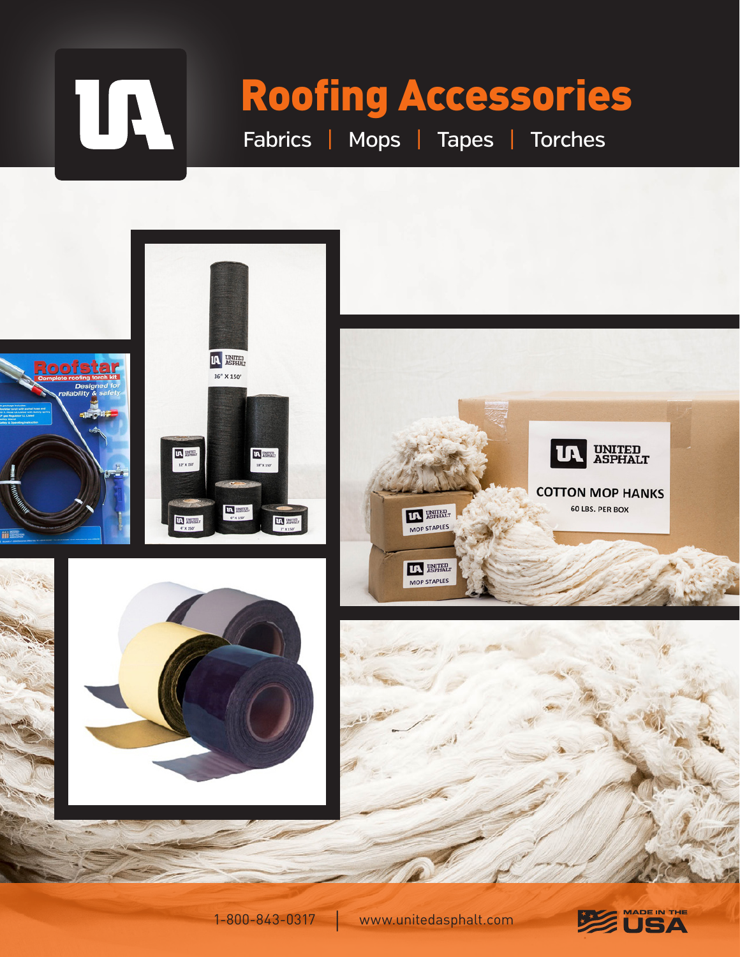